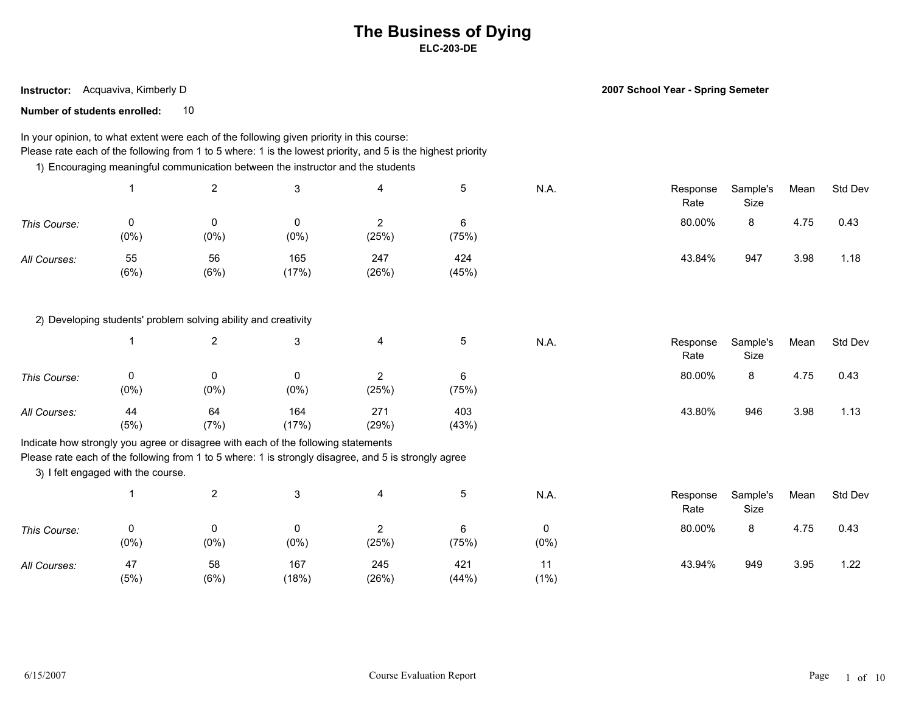**Instructor:** Acquaviva, Kimberly D

**2007 School Year - Spring Semeter**

**Number of students enrolled:** 10

#### In your opinion, to what extent were each of the following given priority in this course: Please rate each of the following from 1 to 5 where: 1 is the lowest priority, and 5 is the highest priority

1) Encouraging meaningful communication between the instructor and the students

|              |            | <u>_</u>   |              | 4            |              | N.A. | Response<br>Rate | Sample's<br>Size | Mean | Std Dev |  |
|--------------|------------|------------|--------------|--------------|--------------|------|------------------|------------------|------|---------|--|
| This Course: | $(0\%)$    | $(0\%)$    | 0<br>$(0\%)$ | (25%)        | (75%)        |      | 80.00%           | 8                | 4.75 | 0.43    |  |
| All Courses: | 55<br>(6%) | 56<br>(6%) | 165<br>(17%) | 247<br>(26%) | 424<br>(45%) |      | 43.84%           | 947              | 3.98 | 1.18    |  |

2) Developing students' problem solving ability and creativity

|              |           | റ          |              | 4            |              | N.A. | Response<br>Rate | Sample's<br>Size | Mean | Std Dev |  |
|--------------|-----------|------------|--------------|--------------|--------------|------|------------------|------------------|------|---------|--|
| This Course: | $(0\%)$   | 0<br>(0%)  | (0% )        | (25%)        | (75%)        |      | 80.00%           | $\circ$<br>0     | 4.75 | 0.43    |  |
| All Courses: | 44<br>(5% | 64<br>(7%) | 164<br>(17%) | 271<br>(29%) | 403<br>(43%) |      | 43.80%           | 946              | 3.98 | 1.13    |  |

Indicate how strongly you agree or disagree with each of the following statements

Please rate each of the following from 1 to 5 where: 1 is strongly disagree, and 5 is strongly agree

3) I felt engaged with the course.

|              |            | L          |              | 4            |              | N.A.         | Response<br>Rate | Sample's<br>Size | Mean | Std Dev |  |
|--------------|------------|------------|--------------|--------------|--------------|--------------|------------------|------------------|------|---------|--|
| This Course: | $(0\%)$    | $(0\%)$    | $(0\%)$      | (25%)        | (75%)        | 0<br>$(0\%)$ | 80.00%           | 8                | 4.75 | 0.43    |  |
| All Courses: | 47<br>(5%) | 58<br>(6%) | 167<br>(18%) | 245<br>(26%) | 421<br>(44%) | $(1\%)$      | 43.94%           | 949              | 3.95 | 1.22    |  |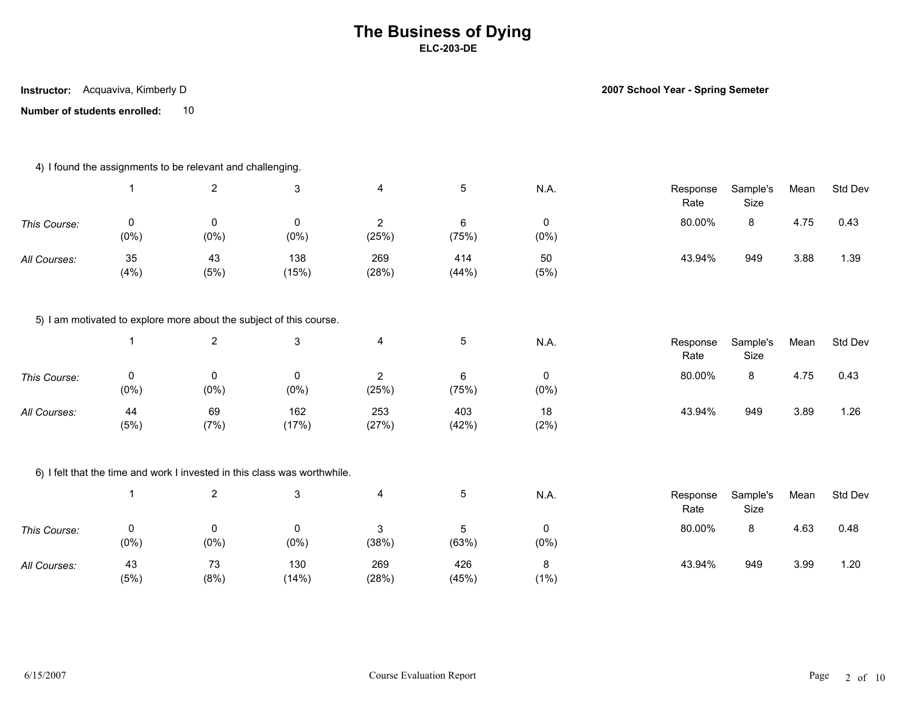**Number of students enrolled:** 10 **Instructor:** Acquaviva, Kimberly D

**2007 School Year - Spring Semeter**

|              |                | 4) I found the assignments to be relevant and challenging. |                                                                           |                         |              |              |                  |                  |      |         |
|--------------|----------------|------------------------------------------------------------|---------------------------------------------------------------------------|-------------------------|--------------|--------------|------------------|------------------|------|---------|
|              | -1             | $\overline{2}$                                             | $\mathbf{3}$                                                              | 4                       | 5            | N.A.         | Response<br>Rate | Sample's<br>Size | Mean | Std Dev |
| This Course: | 0<br>$(0\%)$   | 0<br>$(0\%)$                                               | 0<br>(0%)                                                                 | $\overline{2}$<br>(25%) | 6<br>(75%)   | 0<br>$(0\%)$ | 80.00%           | 8                | 4.75 | 0.43    |
| All Courses: | 35<br>(4% )    | 43<br>(5%)                                                 | 138<br>(15%)                                                              | 269<br>(28%)            | 414<br>(44%) | 50<br>(5%)   | 43.94%           | 949              | 3.88 | 1.39    |
|              |                |                                                            | 5) I am motivated to explore more about the subject of this course.       |                         |              |              |                  |                  |      |         |
|              | $\overline{1}$ | $\overline{2}$                                             | $\mathfrak{S}$                                                            | 4                       | 5            | N.A.         | Response<br>Rate | Sample's<br>Size | Mean | Std Dev |
| This Course: | 0<br>$(0\%)$   | $\mathbf 0$<br>$(0\%)$                                     | 0<br>$(0\%)$                                                              | $\overline{2}$<br>(25%) | 6<br>(75%)   | 0<br>$(0\%)$ | 80.00%           | 8                | 4.75 | 0.43    |
| All Courses: | 44<br>(5%)     | 69<br>(7%)                                                 | 162<br>(17%)                                                              | 253<br>(27%)            | 403<br>(42%) | 18<br>(2%)   | 43.94%           | 949              | 3.89 | 1.26    |
|              |                |                                                            | 6) I felt that the time and work I invested in this class was worthwhile. |                         |              |              |                  |                  |      |         |
|              | -1             | $\overline{2}$                                             | $\mathfrak{S}$                                                            | $\overline{a}$          | 5            | N.A.         | Response<br>Rate | Sample's<br>Size | Mean | Std Dev |
| This Course: | 0<br>$(0\%)$   | $\mathbf 0$<br>$(0\%)$                                     | 0<br>$(0\%)$                                                              | 3<br>(38%)              | 5<br>(63%)   | 0<br>$(0\%)$ | 80.00%           | 8                | 4.63 | 0.48    |
| All Courses: | 43<br>(5%)     | 73<br>(8%)                                                 | 130<br>(14%)                                                              | 269<br>(28%)            | 426<br>(45%) | 8<br>(1%)    | 43.94%           | 949              | 3.99 | 1.20    |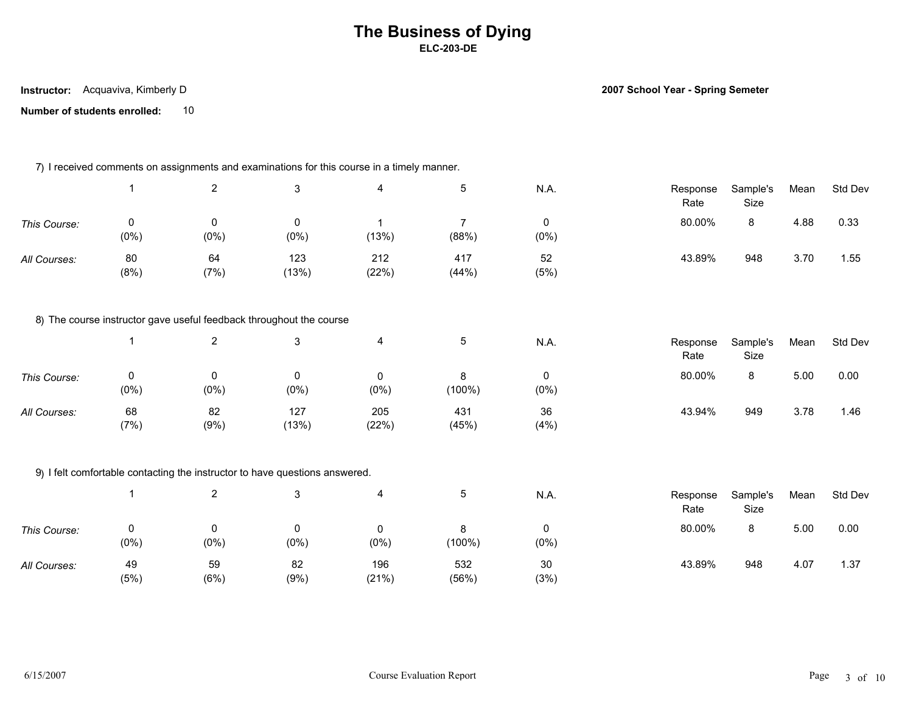**Instructor:** Acquaviva, Kimberly D

**2007 School Year - Spring Semeter**

|              |                        |                                | 7) I received comments on assignments and examinations for this course in a timely manner. |                         |                         |                        |                  |                  |      |         |
|--------------|------------------------|--------------------------------|--------------------------------------------------------------------------------------------|-------------------------|-------------------------|------------------------|------------------|------------------|------|---------|
|              | $\mathbf{1}$           | $\overline{2}$                 | 3                                                                                          | $\overline{\mathbf{4}}$ | 5                       | N.A.                   | Response<br>Rate | Sample's<br>Size | Mean | Std Dev |
| This Course: | $\mathbf 0$<br>$(0\%)$ | $\mathsf{O}\xspace$<br>$(0\%)$ | 0<br>$(0\%)$                                                                               | $\overline{1}$<br>(13%) | $\overline{7}$<br>(88%) | 0<br>$(0\%)$           | 80.00%           | 8                | 4.88 | 0.33    |
| All Courses: | 80<br>(8%)             | 64<br>(7%)                     | 123<br>(13%)                                                                               | 212<br>(22%)            | 417<br>(44%)            | 52<br>(5%)             | 43.89%           | 948              | 3.70 | 1.55    |
|              |                        |                                | 8) The course instructor gave useful feedback throughout the course                        |                         |                         |                        |                  |                  |      |         |
|              | $\mathbf{1}$           | $\sqrt{2}$                     | 3                                                                                          | $\overline{\mathbf{4}}$ | 5                       | N.A.                   | Response<br>Rate | Sample's<br>Size | Mean | Std Dev |
| This Course: | 0<br>$(0\%)$           | 0<br>$(0\%)$                   | 0<br>$(0\%)$                                                                               | 0<br>$(0\%)$            | 8<br>(100%)             | 0<br>$(0\%)$           | 80.00%           | 8                | 5.00 | 0.00    |
| All Courses: | 68<br>(7%)             | 82<br>(9%)                     | 127<br>(13%)                                                                               | 205<br>(22%)            | 431<br>(45%)            | 36<br>(4%)             | 43.94%           | 949              | 3.78 | 1.46    |
|              |                        |                                | 9) I felt comfortable contacting the instructor to have questions answered.                |                         |                         |                        |                  |                  |      |         |
|              | $\mathbf{1}$           | $\overline{2}$                 | 3                                                                                          | $\overline{\mathbf{4}}$ | 5                       | N.A.                   | Response<br>Rate | Sample's<br>Size | Mean | Std Dev |
| This Course: | 0<br>$(0\%)$           | 0<br>(0%)                      | 0<br>$(0\%)$                                                                               | $\mathbf 0$<br>$(0\%)$  | 8<br>(100%)             | $\mathbf 0$<br>$(0\%)$ | 80.00%           | 8                | 5.00 | 0.00    |
| All Courses: | 49<br>(5%)             | 59<br>(6%)                     | 82<br>(9%)                                                                                 | 196<br>(21%)            | 532<br>(56%)            | 30<br>(3%)             | 43.89%           | 948              | 4.07 | 1.37    |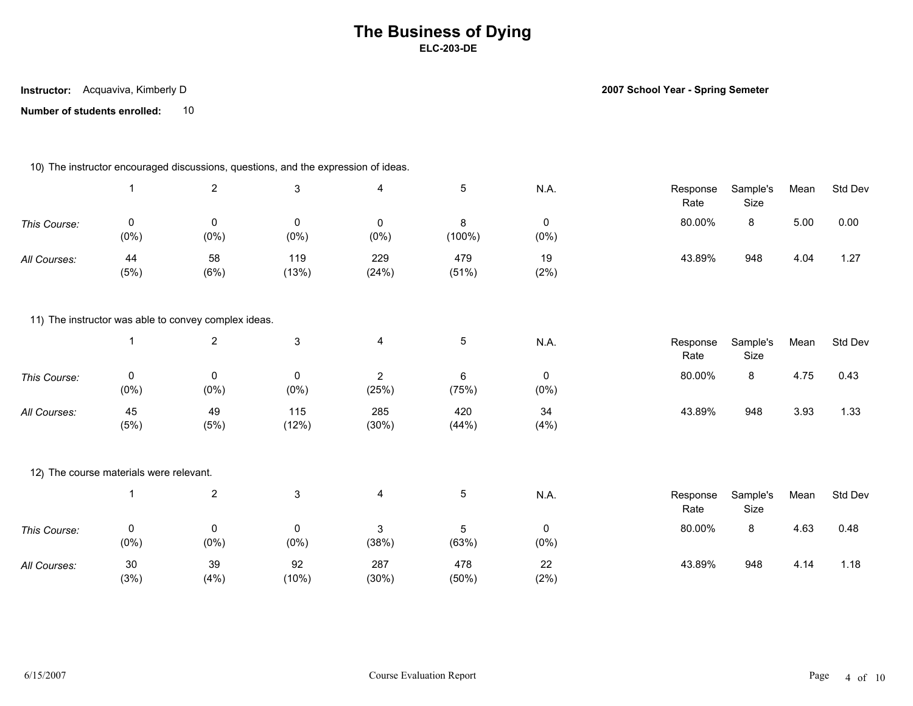**Instructor:** Acquaviva, Kimberly D

**2007 School Year - Spring Semeter**

|              |                                         |                                                      | 10) The instructor encouraged discussions, questions, and the expression of ideas. |                         |                         |              |                  |                  |      |         |
|--------------|-----------------------------------------|------------------------------------------------------|------------------------------------------------------------------------------------|-------------------------|-------------------------|--------------|------------------|------------------|------|---------|
|              | $\mathbf{1}$                            | $\overline{2}$                                       | $\mathsf 3$                                                                        | $\overline{4}$          | $5\phantom{.0}$         | N.A.         | Response<br>Rate | Sample's<br>Size | Mean | Std Dev |
| This Course: | $\mathbf 0$<br>$(0\%)$                  | 0<br>$(0\%)$                                         | $\mathbf 0$<br>$(0\%)$                                                             | 0<br>$(0\%)$            | 8<br>(100%)             | 0<br>$(0\%)$ | 80.00%           | 8                | 5.00 | 0.00    |
| All Courses: | 44<br>(5%)                              | 58<br>(6%)                                           | 119<br>(13%)                                                                       | 229<br>(24%)            | 479<br>(51%)            | 19<br>(2%)   | 43.89%           | 948              | 4.04 | 1.27    |
|              |                                         | 11) The instructor was able to convey complex ideas. |                                                                                    |                         |                         |              |                  |                  |      |         |
|              | $\overline{\mathbf{1}}$                 | $\overline{2}$                                       | $\mathbf{3}$                                                                       | $\overline{\mathbf{4}}$ | $\overline{5}$          | N.A.         | Response<br>Rate | Sample's<br>Size | Mean | Std Dev |
| This Course: | $\mathbf 0$<br>$(0\%)$                  | 0<br>$(0\%)$                                         | $\mathsf{O}$<br>$(0\%)$                                                            | $\sqrt{2}$<br>(25%)     | $6\phantom{.}$<br>(75%) | 0<br>(0%)    | 80.00%           | 8                | 4.75 | 0.43    |
| All Courses: | 45<br>(5%)                              | 49<br>(5%)                                           | 115<br>(12%)                                                                       | 285<br>(30%)            | 420<br>(44%)            | 34<br>(4% )  | 43.89%           | 948              | 3.93 | 1.33    |
|              | 12) The course materials were relevant. |                                                      |                                                                                    |                         |                         |              |                  |                  |      |         |
|              | $\overline{1}$                          | $\sqrt{2}$                                           | $\mathbf{3}$                                                                       | $\overline{4}$          | $5\phantom{.0}$         | <b>N.A.</b>  | Response<br>Rate | Sample's<br>Size | Mean | Std Dev |
| This Course: | $\mathbf 0$<br>$(0\%)$                  | 0<br>$(0\%)$                                         | $\mathsf{O}$<br>$(0\%)$                                                            | 3<br>(38%)              | 5<br>(63%)              | 0<br>$(0\%)$ | 80.00%           | 8                | 4.63 | 0.48    |
| All Courses: | $30\,$<br>(3%)                          | 39<br>(4% )                                          | 92<br>(10%)                                                                        | 287<br>(30%)            | 478<br>(50%)            | 22<br>(2%)   | 43.89%           | 948              | 4.14 | 1.18    |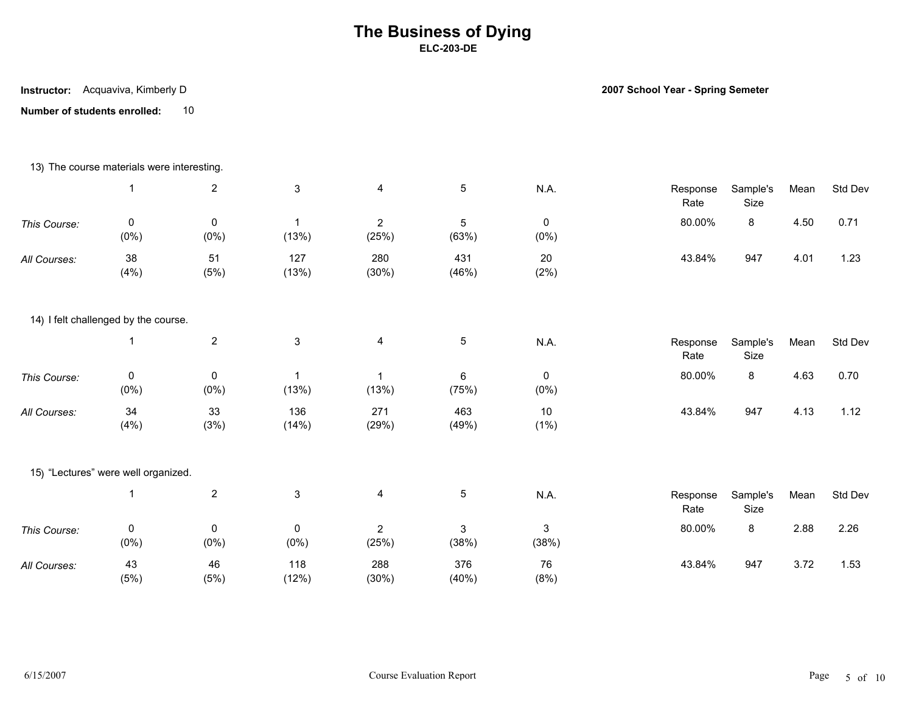**Instructor:** Acquaviva, Kimberly D

**2007 School Year - Spring Semeter**

|              | 13) The course materials were interesting. |                        |                                  |                         |                     |                        |                  |                  |      |         |
|--------------|--------------------------------------------|------------------------|----------------------------------|-------------------------|---------------------|------------------------|------------------|------------------|------|---------|
|              | $\mathbf 1$                                | $\overline{2}$         | $\mathfrak{S}$                   | $\overline{\mathbf{4}}$ | $\sqrt{5}$          | N.A.                   | Response<br>Rate | Sample's<br>Size | Mean | Std Dev |
| This Course: | 0<br>$(0\%)$                               | $\mathbf 0$<br>$(0\%)$ | $\overline{1}$<br>(13%)          | $\overline{2}$<br>(25%) | $\sqrt{5}$<br>(63%) | $\mathbf 0$<br>$(0\%)$ | 80.00%           | 8                | 4.50 | 0.71    |
| All Courses: | 38<br>(4% )                                | 51<br>(5%)             | 127<br>(13%)                     | 280<br>(30%)            | 431<br>(46%)        | 20<br>(2%)             | 43.84%           | 947              | 4.01 | 1.23    |
|              | 14) I felt challenged by the course.       |                        |                                  |                         |                     |                        |                  |                  |      |         |
|              |                                            | $\boldsymbol{2}$       | $\mathfrak{S}$                   | $\overline{\mathbf{4}}$ | $\,$ 5 $\,$         | N.A.                   | Response<br>Rate | Sample's<br>Size | Mean | Std Dev |
| This Course: | 0<br>$(0\%)$                               | 0<br>$(0\%)$           | $\overline{\mathbf{1}}$<br>(13%) | $\mathbf{1}$<br>(13%)   | $\,6\,$<br>(75%)    | 0<br>$(0\%)$           | 80.00%           | 8                | 4.63 | 0.70    |
| All Courses: | 34<br>(4%)                                 | 33<br>(3%)             | 136<br>(14%)                     | 271<br>(29%)            | 463<br>(49%)        | 10<br>$(1\%)$          | 43.84%           | 947              | 4.13 | 1.12    |
|              | 15) "Lectures" were well organized.        |                        |                                  |                         |                     |                        |                  |                  |      |         |
|              | $\overline{1}$                             | $\sqrt{2}$             | $\mathfrak{S}$                   | $\overline{\mathbf{4}}$ | $\sqrt{5}$          | N.A.                   | Response<br>Rate | Sample's<br>Size | Mean | Std Dev |
| This Course: | 0<br>$(0\%)$                               | $\mathsf 0$<br>$(0\%)$ | 0<br>$(0\%)$                     | $\overline{2}$<br>(25%) | 3<br>(38%)          | 3<br>(38%)             | 80.00%           | 8                | 2.88 | 2.26    |
| All Courses: | 43<br>(5%)                                 | 46<br>(5%)             | 118<br>(12%)                     | 288<br>(30%)            | 376<br>(40%)        | 76<br>(8%)             | 43.84%           | 947              | 3.72 | 1.53    |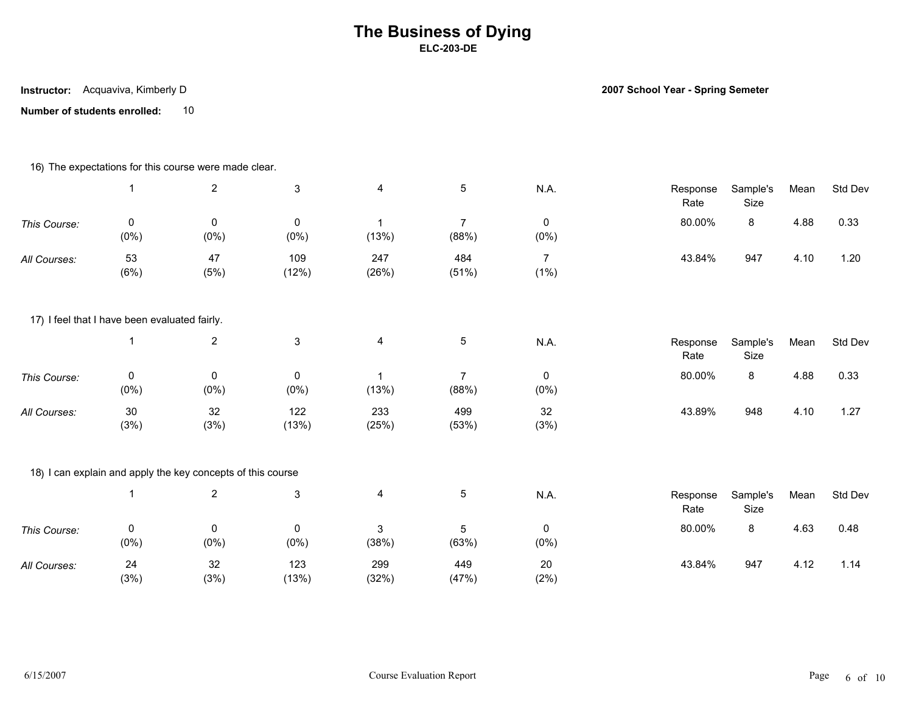**Instructor:** Acquaviva, Kimberly D

**2007 School Year - Spring Semeter**

|              |                                               | 16) The expectations for this course were made clear.       |                        |                         |                         |                           |                  |                  |      |         |
|--------------|-----------------------------------------------|-------------------------------------------------------------|------------------------|-------------------------|-------------------------|---------------------------|------------------|------------------|------|---------|
|              |                                               | $\overline{2}$                                              | $\mathfrak{S}$         | $\overline{\mathbf{4}}$ | $\sqrt{5}$              | N.A.                      | Response<br>Rate | Sample's<br>Size | Mean | Std Dev |
| This Course: | 0<br>$(0\%)$                                  | $\mathbf 0$<br>$(0\%)$                                      | $\mathbf 0$<br>$(0\%)$ | $\mathbf{1}$<br>(13%)   | $\overline{7}$<br>(88%) | $\mathbf 0$<br>$(0\%)$    | 80.00%           | 8                | 4.88 | 0.33    |
| All Courses: | 53<br>(6%)                                    | 47<br>(5%)                                                  | 109<br>(12%)           | 247<br>(26%)            | 484<br>(51%)            | $\overline{7}$<br>$(1\%)$ | 43.84%           | 947              | 4.10 | 1.20    |
|              | 17) I feel that I have been evaluated fairly. |                                                             |                        |                         |                         |                           |                  |                  |      |         |
|              |                                               | $\boldsymbol{2}$                                            | $\mathbf{3}$           | $\overline{\mathbf{4}}$ | $\,$ 5 $\,$             | N.A.                      | Response<br>Rate | Sample's<br>Size | Mean | Std Dev |
| This Course: | 0<br>(0%)                                     | 0<br>$(0\%)$                                                | 0<br>$(0\%)$           | $\mathbf{1}$<br>(13%)   | $\overline{7}$<br>(88%) | 0<br>$(0\%)$              | 80.00%           | 8                | 4.88 | 0.33    |
| All Courses: | $30\,$<br>(3%)                                | 32<br>(3%)                                                  | 122<br>(13%)           | 233<br>(25%)            | 499<br>(53%)            | 32<br>(3%)                | 43.89%           | 948              | 4.10 | 1.27    |
|              |                                               | 18) I can explain and apply the key concepts of this course |                        |                         |                         |                           |                  |                  |      |         |
|              |                                               | $\overline{2}$                                              | $\mathfrak{S}$         | 4                       | $5\phantom{.0}$         | N.A.                      | Response<br>Rate | Sample's<br>Size | Mean | Std Dev |
| This Course: | 0<br>$(0\%)$                                  | 0<br>$(0\%)$                                                | 0<br>$(0\%)$           | 3<br>(38%)              | 5<br>(63%)              | $\mathbf 0$<br>$(0\%)$    | 80.00%           | 8                | 4.63 | 0.48    |
| All Courses: | 24<br>(3%)                                    | 32<br>(3%)                                                  | 123<br>(13%)           | 299<br>(32%)            | 449<br>(47%)            | 20<br>(2%)                | 43.84%           | 947              | 4.12 | 1.14    |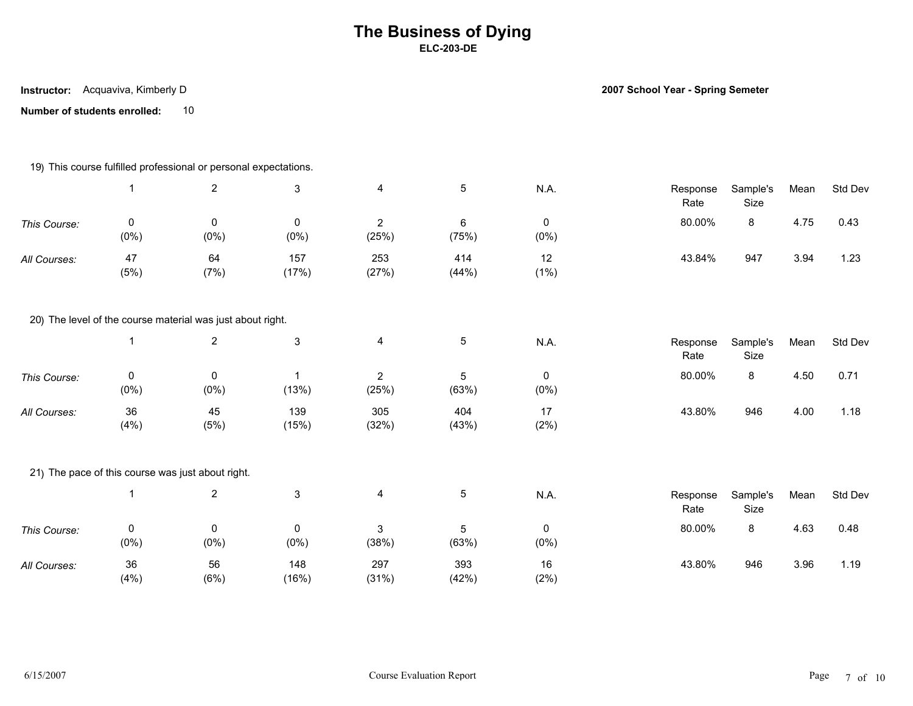**Instructor:** Acquaviva, Kimberly D

**2007 School Year - Spring Semeter**

|              |              | 19) This course fulfilled professional or personal expectations. |                      |                         |                  |                      |                  |                  |      |         |
|--------------|--------------|------------------------------------------------------------------|----------------------|-------------------------|------------------|----------------------|------------------|------------------|------|---------|
|              | 1            | $\overline{2}$                                                   | $\sqrt{3}$           | 4                       | $5\phantom{.0}$  | N.A.                 | Response<br>Rate | Sample's<br>Size | Mean | Std Dev |
| This Course: | 0<br>$(0\%)$ | $\pmb{0}$<br>$(0\%)$                                             | $\pmb{0}$<br>$(0\%)$ | $\overline{2}$<br>(25%) | $\,6\,$<br>(75%) | $\pmb{0}$<br>$(0\%)$ | 80.00%           | 8                | 4.75 | 0.43    |
| All Courses: | 47<br>(5%)   | 64<br>(7%)                                                       | 157<br>(17%)         | 253<br>(27%)            | 414<br>(44%)     | 12<br>$(1\%)$        | 43.84%           | 947              | 3.94 | 1.23    |
|              |              | 20) The level of the course material was just about right.       |                      |                         |                  |                      |                  |                  |      |         |
|              | $\mathbf{1}$ | $\overline{2}$                                                   | $\sqrt{3}$           | 4                       | $\sqrt{5}$       | N.A.                 | Response<br>Rate | Sample's<br>Size | Mean | Std Dev |
| This Course: | 0<br>(0%)    | 0<br>$(0\%)$                                                     | $\mathbf 1$<br>(13%) | $\overline{2}$<br>(25%) | 5<br>(63%)       | 0<br>$(0\%)$         | 80.00%           | 8                | 4.50 | 0.71    |
| All Courses: | 36<br>(4%)   | 45<br>(5%)                                                       | 139<br>(15%)         | 305<br>(32%)            | 404<br>(43%)     | 17<br>(2%)           | 43.80%           | 946              | 4.00 | 1.18    |
|              |              | 21) The pace of this course was just about right.                |                      |                         |                  |                      |                  |                  |      |         |
|              | $\mathbf{1}$ | $\overline{2}$                                                   | $\sqrt{3}$           | 4                       | $\sqrt{5}$       | <b>N.A.</b>          | Response<br>Rate | Sample's<br>Size | Mean | Std Dev |
| This Course: | 0<br>$(0\%)$ | 0<br>$(0\%)$                                                     | 0<br>$(0\%)$         | 3<br>(38%)              | 5<br>(63%)       | 0<br>$(0\%)$         | 80.00%           | 8                | 4.63 | 0.48    |
| All Courses: | 36<br>(4%)   | 56<br>(6%)                                                       | 148<br>(16%)         | 297<br>(31%)            | 393<br>(42%)     | 16<br>(2%)           | 43.80%           | 946              | 3.96 | 1.19    |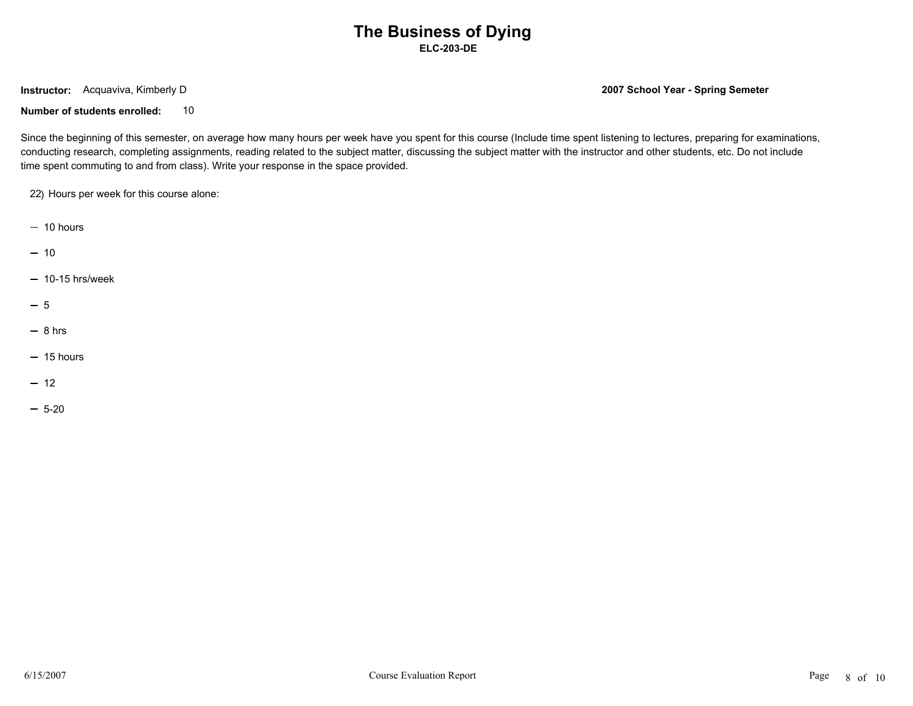**Instructor:** Acquaviva, Kimberly D

**2007 School Year - Spring Semeter**

**Number of students enrolled:** 10

Since the beginning of this semester, on average how many hours per week have you spent for this course (Include time spent listening to lectures, preparing for examinations, conducting research, completing assignments, reading related to the subject matter, discussing the subject matter with the instructor and other students, etc. Do not include time spent commuting to and from class). Write your response in the space provided.

22) Hours per week for this course alone:

- $-10$  hours
- 10
- $-10-15$  hrs/week
- 5
- $-8$  hrs
- $-15$  hours
- 12
- $-5-20$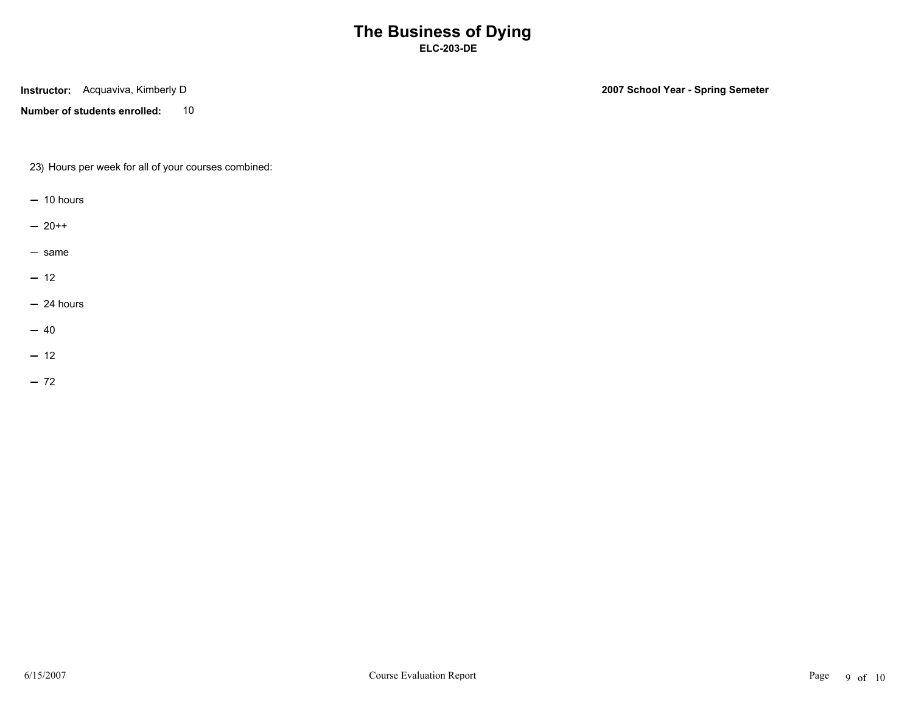**Instructor:** Acquaviva, Kimberly D

**Number of students enrolled:** 10

**2007 School Year - Spring Semeter**

23) Hours per week for all of your courses combined:

- $-10$  hours
- $-20++$
- same
- $-12$
- $-24$  hours
- 40
- $-12$
- $-72$